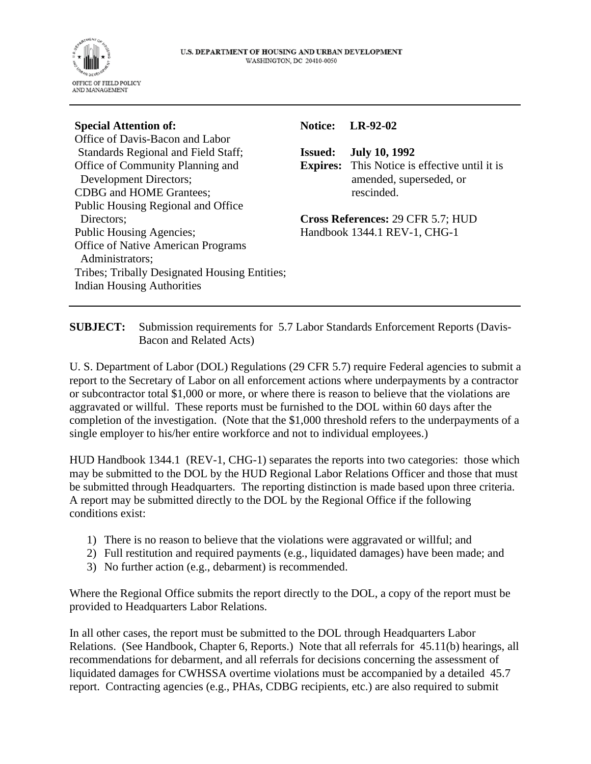

### **Special Attention of:**

Office of Davis-Bacon and Labor Standards Regional and Field Staff; Office of Community Planning and Development Directors; CDBG and HOME Grantees; Public Housing Regional and Office Directors; Public Housing Agencies; Office of Native American Programs Administrators; Tribes; Tribally Designated Housing Entities; Indian Housing Authorities

#### **Notice: LR-92-02**

**Issued: July 10, 1992**

**Expires:** This Notice is effective until it is amended, superseded, or rescinded.

**Cross References:** 29 CFR 5.7; HUD Handbook 1344.1 REV-1, CHG-1

**SUBJECT:** Submission requirements for 5.7 Labor Standards Enforcement Reports (Davis-Bacon and Related Acts)

U. S. Department of Labor (DOL) Regulations (29 CFR 5.7) require Federal agencies to submit a report to the Secretary of Labor on all enforcement actions where underpayments by a contractor or subcontractor total \$1,000 or more, or where there is reason to believe that the violations are aggravated or willful. These reports must be furnished to the DOL within 60 days after the completion of the investigation. (Note that the \$1,000 threshold refers to the underpayments of a single employer to his/her entire workforce and not to individual employees.)

HUD Handbook 1344.1 (REV-1, CHG-1) separates the reports into two categories: those which may be submitted to the DOL by the HUD Regional Labor Relations Officer and those that must be submitted through Headquarters. The reporting distinction is made based upon three criteria. A report may be submitted directly to the DOL by the Regional Office if the following conditions exist:

- 1) There is no reason to believe that the violations were aggravated or willful; and
- 2) Full restitution and required payments (e.g., liquidated damages) have been made; and
- 3) No further action (e.g., debarment) is recommended.

Where the Regional Office submits the report directly to the DOL, a copy of the report must be provided to Headquarters Labor Relations.

In all other cases, the report must be submitted to the DOL through Headquarters Labor Relations. (See Handbook, Chapter 6, Reports.) Note that all referrals for 45.11(b) hearings, all recommendations for debarment, and all referrals for decisions concerning the assessment of liquidated damages for CWHSSA overtime violations must be accompanied by a detailed 45.7 report. Contracting agencies (e.g., PHAs, CDBG recipients, etc.) are also required to submit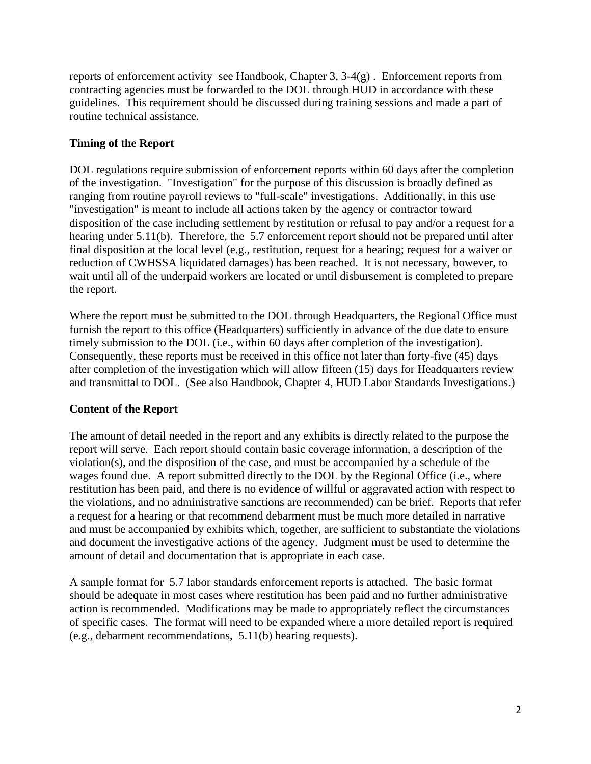reports of enforcement activity see Handbook, Chapter 3,  $3-4(g)$ . Enforcement reports from contracting agencies must be forwarded to the DOL through HUD in accordance with these guidelines. This requirement should be discussed during training sessions and made a part of routine technical assistance.

## **Timing of the Report**

DOL regulations require submission of enforcement reports within 60 days after the completion of the investigation. "Investigation" for the purpose of this discussion is broadly defined as ranging from routine payroll reviews to "full-scale" investigations. Additionally, in this use "investigation" is meant to include all actions taken by the agency or contractor toward disposition of the case including settlement by restitution or refusal to pay and/or a request for a hearing under 5.11(b). Therefore, the 5.7 enforcement report should not be prepared until after final disposition at the local level (e.g., restitution, request for a hearing; request for a waiver or reduction of CWHSSA liquidated damages) has been reached. It is not necessary, however, to wait until all of the underpaid workers are located or until disbursement is completed to prepare the report.

Where the report must be submitted to the DOL through Headquarters, the Regional Office must furnish the report to this office (Headquarters) sufficiently in advance of the due date to ensure timely submission to the DOL (i.e., within 60 days after completion of the investigation). Consequently, these reports must be received in this office not later than forty-five (45) days after completion of the investigation which will allow fifteen (15) days for Headquarters review and transmittal to DOL. (See also Handbook, Chapter 4, HUD Labor Standards Investigations.)

## **Content of the Report**

The amount of detail needed in the report and any exhibits is directly related to the purpose the report will serve. Each report should contain basic coverage information, a description of the violation(s), and the disposition of the case, and must be accompanied by a schedule of the wages found due. A report submitted directly to the DOL by the Regional Office (i.e., where restitution has been paid, and there is no evidence of willful or aggravated action with respect to the violations, and no administrative sanctions are recommended) can be brief. Reports that refer a request for a hearing or that recommend debarment must be much more detailed in narrative and must be accompanied by exhibits which, together, are sufficient to substantiate the violations and document the investigative actions of the agency. Judgment must be used to determine the amount of detail and documentation that is appropriate in each case.

A sample format for 5.7 labor standards enforcement reports is attached. The basic format should be adequate in most cases where restitution has been paid and no further administrative action is recommended. Modifications may be made to appropriately reflect the circumstances of specific cases. The format will need to be expanded where a more detailed report is required (e.g., debarment recommendations, 5.11(b) hearing requests).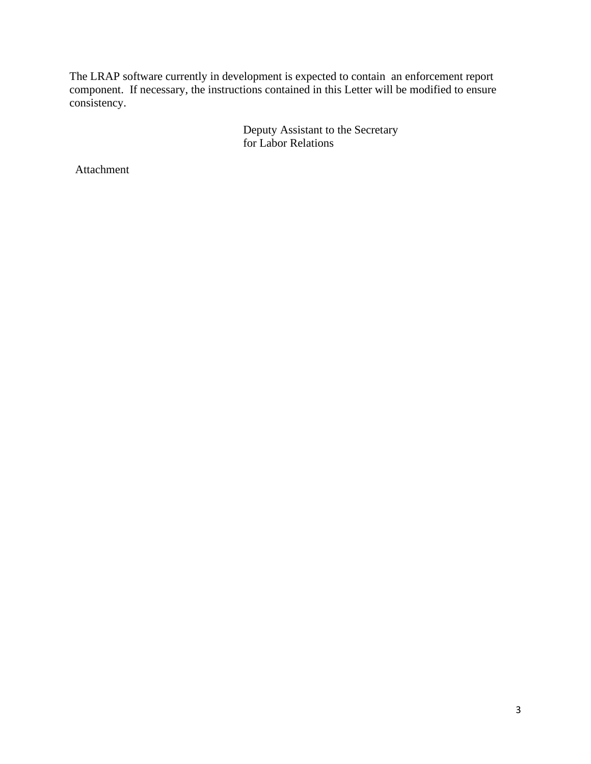The LRAP software currently in development is expected to contain an enforcement report component. If necessary, the instructions contained in this Letter will be modified to ensure consistency.

> Deputy Assistant to the Secretary for Labor Relations

Attachment